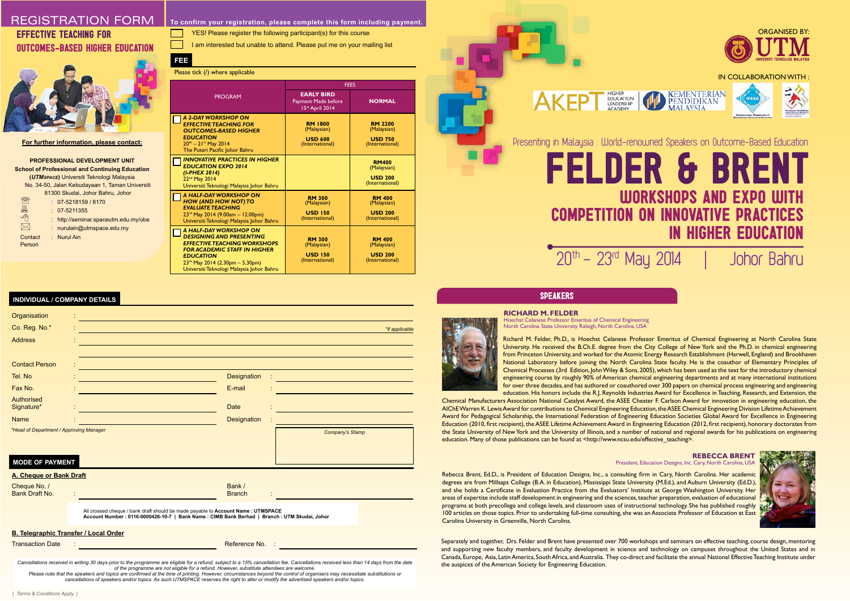University. He received the B.Ch.E. degree from the City College of New York and the Ph.D. in chemical engineering from Princeton University, and worked for the Atomic Energy Research Establishment (Harwell, England) and Brookhaven National Laboratory before joining the North Carolina State faculty. He is the coauthor of Elementary Principles of Chemical Processes (3rd Edition, John Wiley & Sons, 2005), which has been used as the text for the introductory chemical engineering course by roughly 90% of American chemical engineering departments and at many international institutions for over three decades, and has authored or coauthored over 300 papers on chemical process engineering and engineering education. His honors include the R.J. Reynolds Industries Award for Excellence in Teaching, Research, and Extension, the Chemical Manufacturers Association National Catalyst Award, the ASEE Chester F. Carlson Award for innovation in engineering education, the AIChE Warren K. Lewis Award for contributions to Chemical Engineering Education, the ASEE Chemical Engineering Division Lifetime Achievement Award for Pedagogical Scholarship, the International Federation of Engineering Education Societies Global Award for Excellence in Engineering Education (2010, first recipient), the ASEE Lifetime Achievement Award in Engineering Education (2012, first recipient), honorary doctorates from the State University of New York and the University of Illinois, and a number of national and regional awards for his publications on engineering education. Many of those publications can be found at <http://www.ncsu.edu/effective\_teaching>.

Richard M. Felder, Ph.D., is Hoechst Celanese Professor Emeritus of Chemical Engineering at North Carolina State

| Organisation<br>Co. Reg. No.*                | *if applicable                                                                                                                                                                      |
|----------------------------------------------|-------------------------------------------------------------------------------------------------------------------------------------------------------------------------------------|
| <b>Address</b>                               |                                                                                                                                                                                     |
| <b>Contact Person</b>                        |                                                                                                                                                                                     |
| Tel. No                                      | <b>Designation</b><br><u> 1989 - Johann Barn, mars eta biztanleria (h. 1989).</u>                                                                                                   |
| Fax No.                                      | E-mail                                                                                                                                                                              |
| Authorised<br>Signature*                     | <b>Date</b>                                                                                                                                                                         |
| <b>Name</b>                                  | <b>Designation</b>                                                                                                                                                                  |
| *Head of Department / Approving Manager      | Company's Stamp                                                                                                                                                                     |
| <b>MODE OF PAYMENT</b>                       |                                                                                                                                                                                     |
| A. Cheque or Bank Draft                      |                                                                                                                                                                                     |
| Cheque No. /<br>Bank Draft No.               | Bank /<br><b>Branch</b>                                                                                                                                                             |
|                                              | All crossed cheque / bank draft should be made payable to Account Name : UTMSPACE<br>Account Number : 0116-0000426-10-7   Bank Name : CIMB Bank Berhad   Branch : UTM Skudai, Johor |
| <b>B. Telegraphic Transfer / Local Order</b> |                                                                                                                                                                                     |
| <b>Transaction Date</b>                      | Reference No.<br>$\ddot{\phantom{a}}$                                                                                                                                               |

Rebecca Brent, Ed.D., is President of Education Designs, Inc., a consulting firm in Cary, North Carolina. Her academic degrees are from Millsaps College (B.A. in Education), Mississippi State University (M.Ed.), and Auburn University (Ed.D.), and she holds a Certificate in Evaluation Practice from the Evaluators' Institute at George Washington University. Her areas of expertise include staff development in engineering and the sciences, teacher preparation, evaluation of educational programs at both precollege and college levels, and classroom uses of instructional technology. She has published roughly 100 articles on those topics. Prior to undertaking full-time consulting, she was an Associate Professor of Education at East Carolina University in Greenville, North Carolina.

#### **RICHARD M. FELDER**

Hoechst Celanese Professor Emeritus of Chemical Engineering North Carolina State University Raleigh, North Carolina, USA



#### **REBECCA BRENT** President, Education Designs, Inc. Cary, North Carolina, USA



Separately and together, Drs. Felder and Brent have presented over 700 workshops and seminars on effective teaching, course design, mentoring and supporting new faculty members, and faculty development in science and technology on campuses throughout the United States and in Canada, Europe, Asia, Latin America, South Africa, and Australia. They co-direct and facilitate the annual National Effective Teaching Institute under the auspices of the American Society for Engineering Education.

#### **For further information, please contact:**

**PROFESSIONAL DEVELOPMENT UNIT School of Professional and Continuing Education (***UTMSPACE***)** Universiti Teknologi Malaysia No. 34-50, Jalan Kebudayaan 1, Taman Universiti 81300 Skudai, Johor Bahru, Johor <sup>●</sup> 9 : 07-5218159 / 8170<br>
■ : 07-5211355<br>
→ http://seminar.space<br>
<u>→</u> : nurulain@utmspace : 07-5211355 : http://seminar.spaceutm.edu.my/obe : nurulain@utmspace.edu.my Contact : Nurul Ain Person

YES! Please register the following participant(s) for this course

I am interested but unable to attend. Please put me on your mailing list

### **INDIVIDUAL / COMPANY DETAILS**

*Cancellations received in writing 30 days prior to the programme are eligible for a refund, subject to a 15% cancellation fee. Cancellations received less than 14 days from the date of the programme are not eligible for a refund. However, substitute attendees are welcome.*

Please note that the speakers and topics are confirmed at the time of printing. However, circumstances beyond the control of organisers may necessitate substitutions or<br>cancellations of speakers and/or topics. As such UTMS

# REGISTRATION FORM EFFECTIVE TEACHING FOR OUTCOMES-BASED HIGHER EDUCATION



| 233                                                                                                                                                                                                                                              |                                                                    |                                                                    |  |  |  |  |  |
|--------------------------------------------------------------------------------------------------------------------------------------------------------------------------------------------------------------------------------------------------|--------------------------------------------------------------------|--------------------------------------------------------------------|--|--|--|--|--|
| Please tick (/) where applicable                                                                                                                                                                                                                 |                                                                    |                                                                    |  |  |  |  |  |
|                                                                                                                                                                                                                                                  | <b>FEES</b>                                                        |                                                                    |  |  |  |  |  |
| <b>PROGRAM</b>                                                                                                                                                                                                                                   | <b>EARLY BIRD</b><br>Payment Made before<br>15th April 2014        | <b>NORMAL</b>                                                      |  |  |  |  |  |
| A 2-DAY WORKSHOP ON<br><b>EFFECTIVE TEACHING FOR</b><br><b>OUTCOMES-BASED HIGHER</b><br><b>EDUCATION</b><br>$20th - 21st$ May 2014<br>The Puteri Pacific Johor Bahru                                                                             | <b>RM 1800</b><br>(Malaysian)<br><b>USD 600</b><br>(International) | <b>RM 2200</b><br>(Malaysian)<br><b>USD 750</b><br>(International) |  |  |  |  |  |
| <b>INNOVATIVE PRACTICES IN HIGHER</b><br><b>EDUCATION EXPO 2014</b><br>(I-PHEX 2014)<br>22 <sup>nd</sup> May 2014<br>Universiti Teknologi Malaysia Johor Bahru                                                                                   |                                                                    | <b>RM400</b><br>(Malaysian)<br><b>USD 200</b><br>(International)   |  |  |  |  |  |
| A HALF-DAY WORKSHOP ON<br><b>HOW (AND HOW NOT) TO</b><br><b>EVALUATE TEACHING</b><br>23rd May 2014 (9.00am - 12.00pm)<br>Universiti Teknologi Malaysia Johor Bahru                                                                               | <b>RM 300</b><br>(Malaysian)<br><b>USD 150</b><br>(International)  | <b>RM 400</b><br>(Malaysian)<br><b>USD 200</b><br>(International)  |  |  |  |  |  |
| A HALF-DAY WORKSHOP ON<br><b>DESIGNING AND PRESENTING</b><br><b>EFFECTIVE TEACHING WORKSHOPS</b><br><b>FOR ACADEMIC STAFF IN HIGHER</b><br><b>EDUCATION</b><br>$23^{rd}$ May 2014 (2.30pm - 5.30pm)<br>Universiti Teknologi Malaysia Johor Bahru | <b>RM 300</b><br>(Malaysian)<br><b>USD 150</b><br>(International)  | <b>RM 400</b><br>(Malaysian)<br><b>USD 200</b><br>(International)  |  |  |  |  |  |

**To confirm your registration, please complete this form including payment.**

# IN COLLABORATION WITH **KEMENTERIAN** EDUCATION **PENDIDIKAN LEADERSHIP MALAYSIA** Presenting in Malaysia : World-renowned Speakers on Outcome-Based Education FELDER & BRENT WORKSHOPS AND EXPO WITH COMPETITION ON INNOVATIVE PRACTICES IN HIGHER EDUCATION  $20<sup>th</sup> - 23<sup>rd</sup>$  May 2014 | Johor Bahru

### **SPEAKERS**